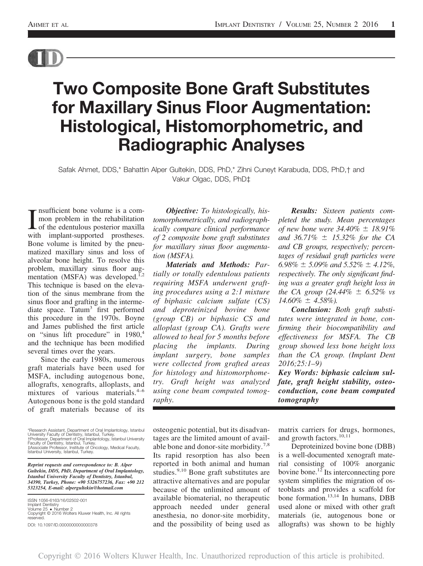

# Two Composite Bone Graft Substitutes for Maxillary Sinus Floor Augmentation: Histological, Histomorphometric, and Radiographic Analyses

Safak Ahmet, DDS,\* Bahattin Alper Gultekin, DDS, PhD,\* Zihni Cuneyt Karabuda, DDS, PhD,† and Vakur Olgac, DDS, PhD‡

I nsufficient bone volume is a com-<br>mon problem in the rehabilitation<br>of the edentulous posterior maxilla<br>with implant-supported prostheses. nsufficient bone volume is a common problem in the rehabilitation of the edentulous posterior maxilla Bone volume is limited by the pneumatized maxillary sinus and loss of alveolar bone height. To resolve this problem, maxillary sinus floor augmentation (MSFA) was developed.<sup>1,2</sup> This technique is based on the elevation of the sinus membrane from the sinus floor and grafting in the intermediate space. Tatum<sup>3</sup> first performed this procedure in the 1970s. Boyne and James published the first article on "sinus lift procedure" in 1980,<sup>4</sup> and the technique has been modified several times over the years.

Since the early 1980s, numerous graft materials have been used for MSFA, including autogenous bone, allografts, xenografts, alloplasts, and mixtures of various materials.<sup>4-6</sup> Autogenous bone is the gold standard of graft materials because of its

\*Research Assistant, Department of Oral Implantology, Istanbul University Faculty of Dentistry, Istanbul, Turkey.<br>†Professor, Department of Oral Implantology, Istanbul University<br>Faculty of Dentistry, Istanbul, Turkey.<br>‡Associate Professor, Institute of Oncology, Medical Faculty, Istanbul University, Istanbul, Turkey.

*Reprint requests and correspondence to: B. Alper Gultekin, DDS, PhD, Department of Oral Implantology, Istanbul University Faculty of Dentistry, Istanbul, 34390, Turkey, Phone: +90 5326757236, Fax: +90 212 5323254, E-mail: alpergultekin@hotmail.com*

ISSN 1056-6163/16/02502-001 Implant Dentistry<br>Volume 25 ● Number 2<br>Copyright © 2016 Wolters Kluwer Health, Inc. All rights reserved. DOI: 10.1097/ID.0000000000000378

*Objective: To histologically, histomorphometrically, and radiographically compare clinical performance of 2 composite bone graft substitutes for maxillary sinus* fl*oor augmentation (MSFA).*

*Materials and Methods: Partially or totally edentulous patients requiring MSFA underwent grafting procedures using a 2:1 mixture of biphasic calcium sulfate (CS) and deproteinized bovine bone (group CB) or biphasic CS and alloplast (group CA). Grafts were allowed to heal for 5 months before placing the implants. During implant surgery, bone samples were collected from grafted areas for histology and histomorphometry. Graft height was analyzed using cone beam computed tomography.*

*Results: Sixteen patients completed the study. Mean percentages of new bone were 34.40%*  $\pm$  18.91% *and 36.71%*  $\pm$  15.32% for the CA *and CB groups, respectively; percentages of residual graft particles were*  $6.98\% \pm 5.09\%$  and  $5.52\% \pm 4.12\%$ , *respectively. The only signi*fi*cant* fi*nding was a greater graft height loss in the CA group (24.44%*  $\pm$  *6.52% vs*  $14.60\% \pm 4.58\%$ ).

*Conclusion: Both graft substitutes were integrated in bone, con*fi*rming their biocompatibility and effectiveness for MSFA. The CB group showed less bone height loss than the CA group. (Implant Dent 2016;25:1*–*9)*

*Key Words: biphasic calcium sulfate, graft height stability, osteoconduction, cone beam computed tomography*

osteogenic potential, but its disadvantages are the limited amount of available bone and donor-site morbidity.<sup>7,8</sup> Its rapid resorption has also been reported in both animal and human studies.<sup>9,10</sup> Bone graft substitutes are attractive alternatives and are popular because of the unlimited amount of available biomaterial, no therapeutic approach needed under general anesthesia, no donor-site morbidity, and the possibility of being used as matrix carriers for drugs, hormones, and growth factors.  $10,11$ 

Deproteinized bovine bone (DBB) is a well-documented xenograft material consisting of 100% anorganic bovine bone.<sup>12</sup> Its interconnecting pore system simplifies the migration of osteoblasts and provides a scaffold for bone formation. $13,14$  In humans, DBB used alone or mixed with other graft materials (ie, autogenous bone or allografts) was shown to be highly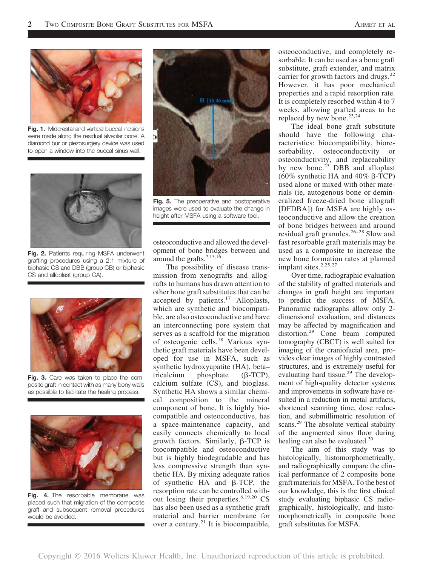

Fig. 1. Midcrestal and vertical buccal incisions were made along the residual alveolar bone. A diamond bur or piezosurgery device was used to open a window into the buccal sinus wall.



Fig. 2. Patients requiring MSFA underwent grafting procedures using a 2:1 mixture of biphasic CS and DBB (group CB) or biphasic CS and alloplast (group CA).



Fig. 3. Care was taken to place the composite graft in contact with as many bony walls as possible to facilitate the healing process.



Fig. 4. The resorbable membrane was placed such that migration of the composite graft and subsequent removal procedures would be avoided.



Fig. 5. The preoperative and postoperative images were used to evaluate the change in height after MSFA using a software tool.

osteoconductive and allowed the development of bone bridges between and around the grafts.<sup>7,15,16</sup>

The possibility of disease transmission from xenografts and allografts to humans has drawn attention to other bone graft substitutes that can be accepted by patients.<sup>17</sup> Alloplasts, which are synthetic and biocompatible, are also osteoconductive and have an interconnecting pore system that serves as a scaffold for the migration of osteogenic cells.<sup>18</sup> Various synthetic graft materials have been developed for use in MSFA, such as synthetic hydroxyapatite (HA), beta– tricalcium phosphate  $(\beta$ -TCP), calcium sulfate (CS), and bioglass. Synthetic HA shows a similar chemical composition to the mineral component of bone. It is highly biocompatible and osteoconductive, has a space-maintenance capacity, and easily connects chemically to local growth factors. Similarly,  $\beta$ -TCP is biocompatible and osteoconductive but is highly biodegradable and has less compressive strength than synthetic HA. By mixing adequate ratios of synthetic  $HA$  and  $\beta$ -TCP, the resorption rate can be controlled without losing their properties.<sup>6,19,20</sup> CS has also been used as a synthetic graft material and barrier membrane for over a century.<sup>21</sup> It is biocompatible, osteoconductive, and completely resorbable. It can be used as a bone graft substitute, graft extender, and matrix carrier for growth factors and drugs.<sup>22</sup> However, it has poor mechanical properties and a rapid resorption rate. It is completely resorbed within 4 to 7 weeks, allowing grafted areas to be replaced by new bone. $23,24$ 

The ideal bone graft substitute should have the following characteristics: biocompatibility, bioresorbability, osteoconductivity or osteoinductivity, and replaceability by new bone.<sup>25</sup> DBB and alloplast (60% synthetic HA and 40%  $\beta$ -TCP) used alone or mixed with other materials (ie, autogenous bone or demineralized freeze-dried bone allograft [DFDBA]) for MSFA are highly osteoconductive and allow the creation of bone bridges between and around residual graft granules.<sup>26</sup>–<sup>28</sup> Slow and fast resorbable graft materials may be used as a composite to increase the new bone formation rates at planned implant sites.<sup>2,25,27</sup>

Over time, radiographic evaluation of the stability of grafted materials and changes in graft height are important to predict the success of MSFA. Panoramic radiographs allow only 2 dimensional evaluation, and distances may be affected by magnification and distortion.<sup>29</sup> Cone beam computed tomography (CBCT) is well suited for imaging of the craniofacial area, provides clear images of highly contrasted structures, and is extremely useful for evaluating hard tissue. $29$  The development of high-quality detector systems and improvements in software have resulted in a reduction in metal artifacts, shortened scanning time, dose reduction, and submillimetric resolution of scans.<sup>29</sup> The absolute vertical stability of the augmented sinus floor during healing can also be evaluated. $30$ 

The aim of this study was to histologically, histomorphometrically, and radiographically compare the clinical performance of 2 composite bone graft materials for MSFA. To the best of our knowledge, this is the first clinical study evaluating biphasic CS radiographically, histologically, and histomorphometrically in composite bone graft substitutes for MSFA.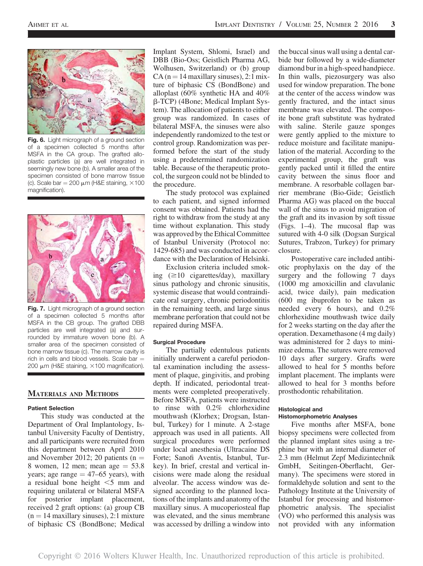

Fig. 6. Light micrograph of a ground section of a specimen collected 5 months after MSFA in the CA group. The grafted alloplastic particles (a) are well integrated in seemingly new bone (b). A smaller area of the specimen consisted of bone marrow tissue (c). Scale bar = 200  $\mu$ m (H&E staining,  $\times$ 100 magnification).



Fig. 7. Light micrograph of a ground section of a specimen collected 5 months after MSFA in the CB group. The grafted DBB particles are well integrated (a) and surrounded by immature woven bone (b). A smaller area of the specimen consisted of bone marrow tissue (c). The marrow cavity is rich in cells and blood vessels. Scale bar  $=$ 200  $\mu$ m (H&E staining,  $\times$ 100 magnification).

## MATERIALS AND METHODS

## Patient Selection

This study was conducted at the Department of Oral Implantology, Istanbul University Faculty of Dentistry, and all participants were recruited from this department between April 2010 and November 2012; 20 patients ( $n =$ 8 women, 12 men; mean age  $= 53.8$ years; age range  $=$  47–65 years), with a residual bone height  $\leq 5$  mm and requiring unilateral or bilateral MSFA for posterior implant placement, received 2 graft options: (a) group CB  $(n = 14$  maxillary sinuses), 2:1 mixture of biphasic CS (BondBone; Medical

Implant System, Shlomi, Israel) and DBB (Bio-Oss; Geistlich Pharma AG, Wolhusen, Switzerland) or (b) group  $CA (n = 14$  maxillary sinuses), 2:1 mixture of biphasic CS (BondBone) and alloplast (60% synthetic HA and 40% b-TCP) (4Bone; Medical Implant System). The allocation of patients to either group was randomized. In cases of bilateral MSFA, the sinuses were also independently randomized to the test or control group. Randomization was performed before the start of the study using a predetermined randomization table. Because of the therapeutic protocol, the surgeon could not be blinded to the procedure.

The study protocol was explained to each patient, and signed informed consent was obtained. Patients had the right to withdraw from the study at any time without explanation. This study was approved by the Ethical Committee of Istanbul University (Protocol no: 1429-685) and was conducted in accordance with the Declaration of Helsinki.

Exclusion criteria included smoking  $(\geq 10$  cigarettes/day), maxillary sinus pathology and chronic sinusitis, systemic disease that would contraindicate oral surgery, chronic periodontitis in the remaining teeth, and large sinus membrane perforation that could not be repaired during MSFA.

#### Surgical Procedure

The partially edentulous patients initially underwent a careful periodontal examination including the assessment of plaque, gingivitis, and probing depth. If indicated, periodontal treatments were completed preoperatively. Before MSFA, patients were instructed to rinse with 0.2% chlorhexidine mouthwash (Klorhex; Drogsan, Istanbul, Turkey) for 1 minute. A 2-stage approach was used in all patients. All surgical procedures were performed under local anesthesia (Ultracaine DS Forte; Sanofi Aventis, Istanbul, Turkey). In brief, crestal and vertical incisions were made along the residual alveolar. The access window was designed according to the planned locations of the implants and anatomy of the maxillary sinus. A mucoperiosteal flap was elevated, and the sinus membrane was accessed by drilling a window into the buccal sinus wall using a dental carbide bur followed by a wide-diameter diamond bur in a high-speed handpiece. In thin walls, piezosurgery was also used for window preparation. The bone at the center of the access window was gently fractured, and the intact sinus membrane was elevated. The composite bone graft substitute was hydrated with saline. Sterile gauze sponges were gently applied to the mixture to reduce moisture and facilitate manipulation of the material. According to the experimental group, the graft was gently packed until it filled the entire cavity between the sinus floor and membrane. A resorbable collagen barrier membrane (Bio-Gide; Geistlich Pharma AG) was placed on the buccal wall of the sinus to avoid migration of the graft and its invasion by soft tissue (Figs. 1–4). The mucosal flap was sutured with 4-0 silk (Dogsan Surgical Sutures, Trabzon, Turkey) for primary closure.

Postoperative care included antibiotic prophylaxis on the day of the surgery and the following 7 days (1000 mg amoxicillin and clavulanic acid, twice daily), pain medication (600 mg ibuprofen to be taken as needed every 6 hours), and 0.2% chlorhexidine mouthwash twice daily for 2 weeks starting on the day after the operation. Dexamethasone (4 mg daily) was administered for 2 days to minimize edema. The sutures were removed 10 days after surgery. Grafts were allowed to heal for 5 months before implant placement. The implants were allowed to heal for 3 months before prosthodontic rehabilitation.

## Histological and Histomorphometric Analyses

Five months after MSFA, bone biopsy specimens were collected from the planned implant sites using a trephine bur with an internal diameter of 2.3 mm (Helmut Zepf Medizintechnik GmbH, Seitingen-Oberflacht, Germany). The specimens were stored in formaldehyde solution and sent to the Pathology Institute at the University of Istanbul for processing and histomorphometric analysis. The specialist (VO) who performed this analysis was not provided with any information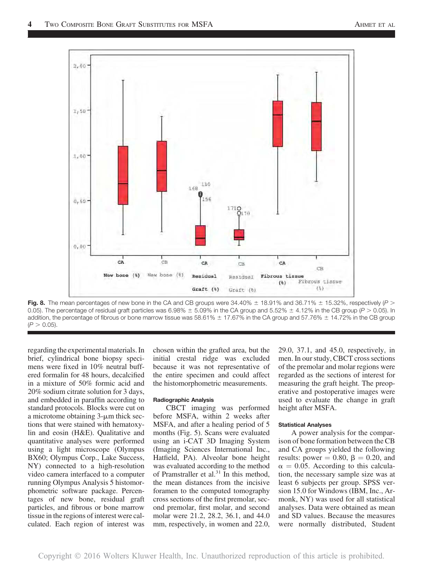

Fig. 8. The mean percentages of new bone in the CA and CB groups were  $34.40\% \pm 18.91\%$  and  $36.71\% \pm 15.32\%$ , respectively (P > 0.05). The percentage of residual graft particles was 6.98%  $\pm$  5.09% in the CA group and 5.52%  $\pm$  4.12% in the CB group (P > 0.05). In addition, the percentage of fibrous or bone marrow tissue was 58.61%  $\pm$  17.67% in the CA group and 57.76%  $\pm$  14.72% in the CB group  $(P > 0.05)$ .

regarding the experimental materials. In brief, cylindrical bone biopsy specimens were fixed in 10% neutral buffered formalin for 48 hours, decalcified in a mixture of 50% formic acid and 20% sodium citrate solution for 3 days, and embedded in paraffin according to standard protocols. Blocks were cut on a microtome obtaining  $3$ - $\mu$ m thick sections that were stained with hematoxylin and eosin (H&E). Qualitative and quantitative analyses were performed using a light microscope (Olympus BX60; Olympus Corp., Lake Success, NY) connected to a high-resolution video camera interfaced to a computer running Olympus Analysis 5 histomorphometric software package. Percentages of new bone, residual graft particles, and fibrous or bone marrow tissue in the regions of interest were calculated. Each region of interest was chosen within the grafted area, but the initial crestal ridge was excluded because it was not representative of the entire specimen and could affect the histomorphometric measurements.

#### Radiographic Analysis

CBCT imaging was performed before MSFA, within 2 weeks after MSFA, and after a healing period of 5 months (Fig. 5). Scans were evaluated using an i-CAT 3D Imaging System (Imaging Sciences International Inc., Hatfield, PA). Alveolar bone height was evaluated according to the method of Pramstraller et al. $31$  In this method, the mean distances from the incisive foramen to the computed tomography cross sections of the first premolar, second premolar, first molar, and second molar were 21.2, 28.2, 36.1, and 44.0 mm, respectively, in women and 22.0, 29.0, 37.1, and 45.0, respectively, in men. In our study, CBCT cross sections of the premolar and molar regions were regarded as the sections of interest for measuring the graft height. The preoperative and postoperative images were used to evaluate the change in graft height after MSFA.

#### Statistical Analyses

A power analysis for the comparison of bone formation between the CB and CA groups yielded the following results: power  $= 0.80, \beta = 0.20, \text{ and}$  $\alpha = 0.05$ . According to this calculation, the necessary sample size was at least 6 subjects per group. SPSS version 15.0 for Windows (IBM, Inc., Armonk, NY) was used for all statistical analyses. Data were obtained as mean and SD values. Because the measures were normally distributed, Student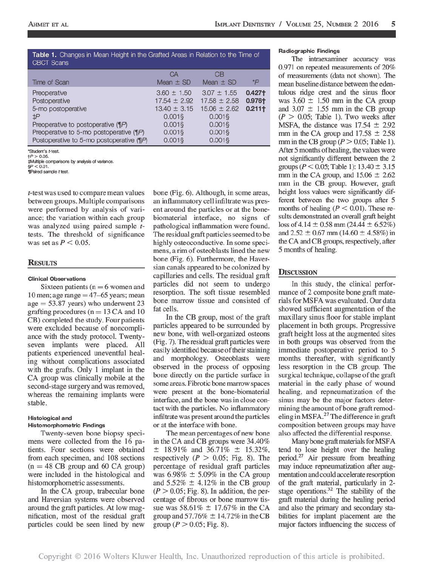## Table 1. Changes in Mean Height in the Grafted Areas in Relation to the Time of **CBCT Scans**

|                                              | CA               | CВ               |          |
|----------------------------------------------|------------------|------------------|----------|
| Time of Scan                                 | Mean $\pm$ SD    | Mean $\pm$ SD    | *P       |
| Preoperative                                 | $3.60 \pm 1.50$  | $3.07 \pm 1.55$  | $0.427+$ |
| Postoperative                                | $17.54 \pm 2.92$ | $17.58 \pm 2.58$ | 0.976+   |
| 5-mo postoperative                           | $13.40 \pm 3.15$ | $15.06 \pm 2.62$ | 0.2111   |
| $\sharp P$                                   | $0.001$ \$       | $0.001$ \$       |          |
| Preoperative to postoperative (¶P)           | $0.001$ §        | $0.001$ §        |          |
| Preoperative to 5-mo postoperative $(\P P)$  | $0.001$ §        | $0.001$ §        |          |
| Postoperative to 5-mo postoperative $(\P P)$ | $0.001$ \$       | $0.001$ \$       |          |

"Student's t-test.  $+P > 0.05$ 

#Multiple comparisons by analysis of variance.

 $P < 0.01$ .

Paired sample t test.

*t*-test was used to compare mean values between groups. Multiple comparisons were performed by analysis of variance; the variation within each group was analyzed using paired sample ttests. The threshold of significance was set as  $P < 0.05$ .

## **RESULTS**

## **Clinical Observations**

Sixteen patients ( $n = 6$  women and 10 men; age range  $=$  47–65 years; mean  $age = 53.87$  years) who underwent 23 grafting procedures ( $n = 13$  CA and 10 CB) completed the study. Four patients were excluded because of noncompliance with the study protocol. Twentyseven implants were placed. All patients experienced uneventful healing without complications associated with the grafts. Only 1 implant in the CA group was clinically mobile at the second-stage surgery and was removed, whereas the remaining implants were stable.

## **Histological and**

## **Histomorphometric Findings**

Twenty-seven bone biopsy specimens were collected from the 16 patients. Four sections were obtained from each specimen, and 108 sections  $(n = 48 \text{ CB}$  group and 60 CA group) were included in the histological and histomorphometric assessments.

In the CA group, trabecular bone and Haversian systems were observed around the graft particles. At low magnification, most of the residual graft particles could be seen lined by new

bone (Fig. 6). Although, in some areas, an inflammatory cell infiltrate was present around the particles or at the bonebiomaterial interface, no signs of pathological inflammation were found. The residual graft particles seemed to be highly osteoconductive. In some specimens, a rim of osteoblasts lined the new bone (Fig. 6). Furthermore, the Haversian canals appeared to be colonized by capillaries and cells. The residual graft particles did not seem to undergo resorption. The soft tissue resembled bone marrow tissue and consisted of fat cells.

In the CB group, most of the graft particles appeared to be surrounded by new bone, with well-organized osteons (Fig. 7). The residual graft particles were easily identified because of their staining and morphology. Osteoblasts were observed in the process of opposing bone directly on the particle surface in some areas. Fibrotic bone marrow spaces were present at the bone-biomaterial interface, and the bone was in close contact with the particles. No inflammatory infiltrate was present around the particles or at the interface with bone.

The mean percentages of new bone in the CA and CB groups were 34.40%  $\pm$  18.91% and 36.71%  $\pm$  15.32%, respectively ( $P > 0.05$ ; Fig. 8). The percentage of residual graft particles was 6.98%  $\pm$  5.09% in the CA group and  $5.52\% \pm 4.12\%$  in the CB group  $(P > 0.05; Fig. 8)$ . In addition, the percentage of fibrous or bone marrow tissue was 58.61%  $\pm$  17.67% in the CA group and  $57.76\% \pm 14.72\%$  in the CB group ( $P > 0.05$ ; Fig. 8).

#### Radiographic Findings

The intraexaminer accuracy was 0.971 on repeated measurements of  $20\%$ of measurements (data not shown). The mean baseline distance between the edentulous ridge crest and the sinus floor was  $3.60 \pm 1.50$  mm in the CA group and  $3.07 \pm 1.55$  mm in the CB group  $(P > 0.05$ ; Table 1). Two weeks after MSFA, the distance was  $17.54 \pm 2.92$ mm in the CA group and  $17.58 \pm 2.58$ mm in the CB group ( $P > 0.05$ ; Table 1). After 5 months of healing, the values were not significantly different between the 2 groups ( $P < 0.05$ ; Table 1): 13.40  $\pm$  3.15 mm in the CA group, and  $15.06 \pm 2.62$ mm in the CB group. However, graft height loss values were significantly different between the two groups after 5 months of healing ( $P < 0.01$ ). These results demonstrated an overall graft height loss of 4.14  $\pm$  0.58 mm (24.44  $\pm$  6.52%) and  $2.52 \pm 0.67$  mm (14.60  $\pm$  4.58%) in the CA and CB groups, respectively, after 5 months of healing.

## **DISCUSSION**

In this study, the clinical performance of 2 composite bone graft materials for MSFA was evaluated. Our data showed sufficient augmentation of the maxillary sinus floor for stable implant placement in both groups. Progressive graft height loss at the augmented sites in both groups was observed from the immediate postoperative period to 5 months thereafter, with significantly less resorption in the CB group. The surgical technique, collapse of the graft material in the early phase of wound healing, and repneumatization of the sinus may be the major factors determining the amount of bone graft remodeling in MSFA.<sup>27</sup> The difference in graft composition between groups may have also affected the differential response.

Many bone graft materials for MSFA tend to lose height over the healing period.<sup>27</sup> Air pressure from breathing may induce repneumatization after augmentation and could accelerate resorption of the graft material, particularly in 2stage operations.<sup>32</sup> The stability of the graft material during the healing period and also the primary and secondary stabilities for implant placement are the major factors influencing the success of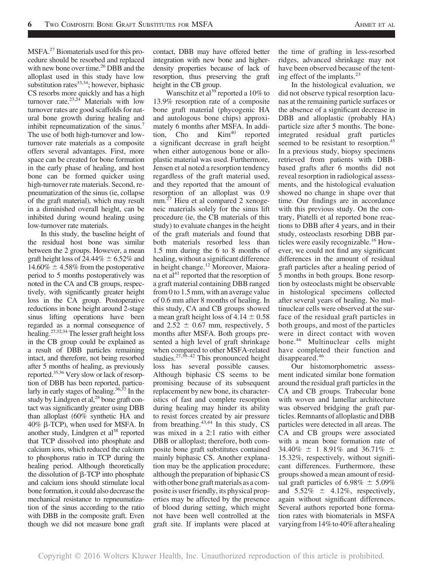MSFA.<sup>27</sup> Biomaterials used for this procedure should be resorbed and replaced with new bone over time.<sup>26</sup> DBB and the alloplast used in this study have low substitution rates $^{33,34}$ ; however, biphasic CS resorbs more quickly and has a high turnover rate. $23,24$  Materials with low turnover rates are good scaffolds for natural bone growth during healing and inhibit repneumatization of the sinus.<sup>7</sup> The use of both high-turnover and lowturnover rate materials as a composite offers several advantages. First, more space can be created for bone formation in the early phase of healing, and host bone can be formed quicker using high-turnover rate materials. Second, repneumatization of the sinus (ie, collapse of the graft material), which may result in a diminished overall height, can be inhibited during wound healing using low-turnover rate materials.

In this study, the baseline height of the residual host bone was similar between the 2 groups. However, a mean graft height loss of 24.44%  $\pm$  6.52% and  $14.60\% \pm 4.58\%$  from the postoperative period to 5 months postoperatively was noted in the CA and CB groups, respectively, with significantly greater height loss in the CA group. Postoperative reductions in bone height around 2-stage sinus lifting operations have been regarded as a normal consequence of healing.27,32,34 The lesser graft height loss in the CB group could be explained as a result of DBB particles remaining intact, and therefore, not being resorbed after 5 months of healing, as previously reported.35,36 Very slow or lack of resorption of DBB has been reported, particularly in early stages of healing. $36,37$  In the study by Lindgren et al,<sup>28</sup> bone graft contact was significantly greater using DBB than alloplast (60% synthetic HA and 40% b-TCP), when used for MSFA. In another study, Lindgren et al<sup>38</sup> reported that TCP dissolved into phosphate and calcium ions, which reduced the calcium to phosphorus ratio in TCP during the healing period. Although theoretically the dissolution of  $\beta$ -TCP into phosphate and calcium ions should stimulate local bone formation, it could also decrease the mechanical resistance to repneumatization of the sinus according to the ratio with DBB in the composite graft. Even though we did not measure bone graft contact, DBB may have offered better integration with new bone and higherdensity properties because of lack of resorption, thus preserving the graft height in the CB group.

Wanschitz et al<sup>39</sup> reported a 10% to 13.9% resorption rate of a composite bone graft material (phycogenic HA and autologous bone chips) approximately 6 months after MSFA. In addition, Cho and  $Kim<sup>40</sup>$  reported a significant decrease in graft height when either autogenous bone or alloplastic material was used. Furthermore, Jensen et al noted a resorption tendency regardless of the graft material used, and they reported that the amount of resorption of an alloplast was 0.9 mm.<sup>27</sup> Hieu et al compared 2 xenogeneic materials solely for the sinus lift procedure (ie, the CB materials of this study) to evaluate changes in the height of the graft materials and found that both materials resorbed less than 1.5 mm during the 6 to 8 months of healing, without a significant difference in height change.<sup>12</sup> Moreover, Maiorana et al<sup>41</sup> reported that the resorption of a graft material containing DBB ranged from 0 to 1.5 mm, with an average value of 0.6 mm after 8 months of healing. In this study, CA and CB groups showed a mean graft height loss of  $4.14 \pm 0.58$ and  $2.52 \pm 0.67$  mm, respectively, 5 months after MSFA. Both groups presented a high level of graft shrinkage when compared to other MSFA-related studies.<sup>27,39–42</sup> This pronounced height loss has several possible causes. Although biphasic CS seems to be promising because of its subsequent replacement by new bone, its characteristics of fast and complete resorption during healing may hinder its ability to resist forces created by air pressure from breathing.43,44 In this study, CS was mixed in a 2:1 ratio with either DBB or alloplast; therefore, both composite bone graft substitutes contained mainly biphasic CS. Another explanation may be the application procedure; although the preparation of biphasic CS with other bone graft materials as a composite is user friendly, its physical properties may be affected by the presence of blood during setting, which might not have been well controlled at the graft site. If implants were placed at

the time of grafting in less-resorbed ridges, advanced shrinkage may not have been observed because of the tenting effect of the implants.<sup>23</sup>

In the histological evaluation, we did not observe typical resorption lacunas at the remaining particle surfaces or the absence of a significant decrease in DBB and alloplastic (probably HA) particle size after 5 months. The boneintegrated residual graft particles seemed to be resistant to resorption.<sup>45</sup> In a previous study, biopsy specimens retrieved from patients with DBBbased grafts after 6 months did not reveal resorption in radiological assessments, and the histological evaluation showed no change in shape over that time. Our findings are in accordance with this previous study. On the contrary, Piatelli et al reported bone reactions to DBB after 4 years, and in their study, osteoclasts resorbing DBB particles were easily recognizable.<sup>16</sup> However, we could not find any significant differences in the amount of residual graft particles after a healing period of 5 months in both groups. Bone resorption by osteoclasts might be observable in histological specimens collected after several years of healing. No multinuclear cells were observed at the surface of the residual graft particles in both groups, and most of the particles were in direct contact with woven bone.<sup>46</sup> Multinuclear cells might have completed their function and disappeared.<sup>46</sup>

Our histomorphometric assessment indicated similar bone formation around the residual graft particles in the CA and CB groups. Trabecular bone with woven and lamellar architecture was observed bridging the graft particles. Remnants of alloplastic and DBB particles were detected in all areas. The CA and CB groups were associated with a mean bone formation rate of 34.40%  $\pm$  1 8.91% and 36.71%  $\pm$ 15.32%, respectively, without significant differences. Furthermore, these groups showed a mean amount of residual graft particles of  $6.98\% \pm 5.09\%$ and  $5.52\% \pm 4.12\%$ , respectively, again without significant differences. Several authors reported bone formation rates with biomaterials in MSFA varying from  $14\%$  to  $40\%$  after a healing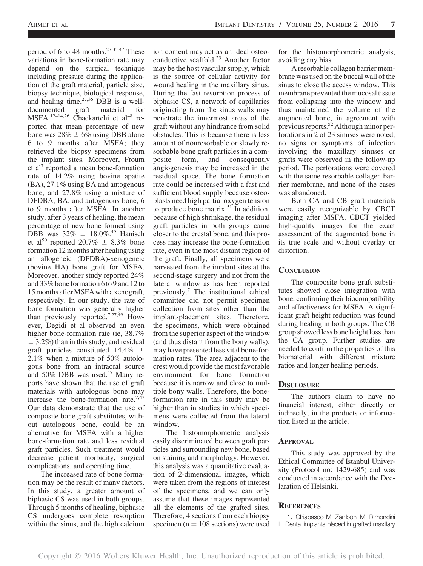period of 6 to 48 months.<sup>27,35,47</sup> These variations in bone-formation rate may depend on the surgical technique including pressure during the application of the graft material, particle size, biopsy technique, biological response, and healing time. $27,35$  DBB is a welldocumented graft material for MSFA.<sup>12-14,26</sup> Chackartchi et al<sup>48</sup> reported that mean percentage of new bone was  $28\% \pm 6\%$  using DBB alone 6 to 9 months after MSFA; they retrieved the biopsy specimens from the implant sites. Moreover, Froum et al<sup>7</sup> reported a mean bone-formation rate of 14.2% using bovine apatite (BA), 27.1% using BA and autogenous bone, and 27.8% using a mixture of DFDBA, BA, and autogenous bone, 6 to 9 months after MSFA. In another study, after 3 years of healing, the mean percentage of new bone formed using DBB was  $32\% \pm 18.0\%$ .<sup>49</sup> Hanisch et al<sup>50</sup> reported 20.7%  $\pm$  8.3% bone formation 12 months after healing using an allogeneic (DFDBA)-xenogeneic (bovine HA) bone graft for MSFA. Moreover, another study reported 24% and 33% bone formation 6 to 9 and 12 to 15 months after MSFA with a xenograft, respectively. In our study, the rate of bone formation was generally higher than previously reported.<sup>7,27,49</sup> However, Degidi et al observed an even higher bone-formation rate (ie, 38.7%  $\pm$  3.2%) than in this study, and residual graft particles constituted 14.4%  $\pm$ 2.1% when a mixture of 50% autologous bone from an intraoral source and 50% DBB was used.<sup>47</sup> Many reports have shown that the use of graft materials with autologous bone may increase the bone-formation rate.<sup>7,47</sup> Our data demonstrate that the use of composite bone graft substitutes, without autologous bone, could be an alternative for MSFA with a higher bone-formation rate and less residual graft particles. Such treatment would decrease patient morbidity, surgical complications, and operating time.

The increased rate of bone formation may be the result of many factors. In this study, a greater amount of biphasic CS was used in both groups. Through 5 months of healing, biphasic CS undergoes complete resorption within the sinus, and the high calcium

ion content may act as an ideal osteoconductive scaffold.<sup>23</sup> Another factor may be the host vascular supply, which is the source of cellular activity for wound healing in the maxillary sinus. During the fast resorption process of biphasic CS, a network of capillaries originating from the sinus walls may penetrate the innermost areas of the graft without any hindrance from solid obstacles. This is because there is less amount of nonresorbable or slowly resorbable bone graft particles in a composite form, and consequently angiogenesis may be increased in the residual space. The bone formation rate could be increased with a fast and sufficient blood supply because osteoblasts need high partial oxygen tension to produce bone matrix.<sup>51</sup> In addition, because of high shrinkage, the residual graft particles in both groups came closer to the crestal bone, and this process may increase the bone-formation rate, even in the most distant region of the graft. Finally, all specimens were harvested from the implant sites at the second-stage surgery and not from the lateral window as has been reported previously.<sup>7</sup> The institutional ethical committee did not permit specimen collection from sites other than the implant-placement sites. Therefore, the specimens, which were obtained from the superior aspect of the window (and thus distant from the bony walls), may have presented less vital bone-formation rates. The area adjacent to the crest would provide the most favorable environment for bone formation because it is narrow and close to multiple bony walls. Therefore, the boneformation rate in this study may be higher than in studies in which specimens were collected from the lateral window.

The histomorphometric analysis easily discriminated between graft particles and surrounding new bone, based on staining and morphology. However, this analysis was a quantitative evaluation of 2-dimensional images, which were taken from the regions of interest of the specimens, and we can only assume that these images represented all the elements of the grafted sites. Therefore, 4 sections from each biopsy specimen ( $n = 108$  sections) were used for the histomorphometric analysis, avoiding any bias.

A resorbable collagen barrier membrane was used on the buccal wall of the sinus to close the access window. This membrane prevented the mucosal tissue from collapsing into the window and thus maintained the volume of the augmented bone, in agreement with previous reports.<sup>52</sup> Although minor perforations in 2 of 23 sinuses were noted, no signs or symptoms of infection involving the maxillary sinuses or grafts were observed in the follow-up period. The perforations were covered with the same resorbable collagen barrier membrane, and none of the cases was abandoned.

Both CA and CB graft materials were easily recognizable by CBCT imaging after MSFA. CBCT yielded high-quality images for the exact assessment of the augmented bone in its true scale and without overlay or distortion.

# **CONCLUSION**

The composite bone graft substitutes showed close integration with bone, confirming their biocompatibility and effectiveness for MSFA. A significant graft height reduction was found during healing in both groups. The CB group showed less bone height loss than the CA group. Further studies are needed to confirm the properties of this biomaterial with different mixture ratios and longer healing periods.

# **DISCLOSURE**

The authors claim to have no financial interest, either directly or indirectly, in the products or information listed in the article.

# APPROVAL

This study was approved by the Ethical Committee of Istanbul University (Protocol no: 1429-685) and was conducted in accordance with the Declaration of Helsinki.

# **REFERENCES**

1. Chiapasco M, Zaniboni M, Rimondini L. Dental implants placed in grafted maxillary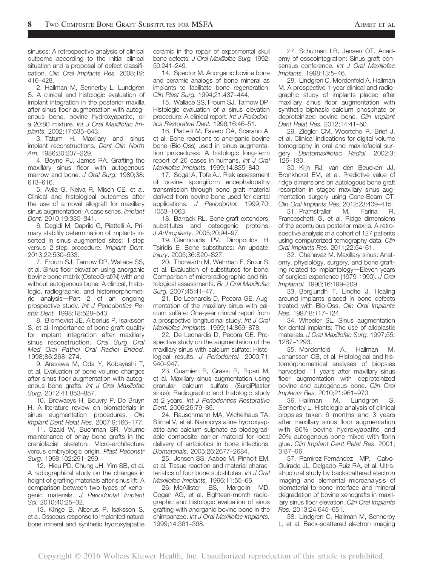sinuses: A retrospective analysis of clinical outcome according to the initial clinical situation and a proposal of defect classification. Clin Oral Implants Res. 2008;19: 416–428.

2. Hallman M, Sennerby L, Lundgren S. A clinical and histologic evaluation of implant integration in the posterior maxilla after sinus floor augmentation with autogenous bone, bovine hydroxyapatite, or a 20:80 mixture. Int J Oral Maxillofac Implants. 2002;17:635–643.

3. Tatum H. Maxillary and sinus implant reconstructions. Dent Clin North Am. 1986;30:207–229.

4. Boyne PJ, James RA. Grafting the maxillary sinus floor with autogenous marrow and bone. J Oral Surg. 1980;38: 613–616.

5. Avila G, Neiva R, Misch CE, et al. Clinical and histological outcomes after the use of a novel allograft for maxillary sinus augmentation: A case series. Implant Dent. 2010;19:330–341.

6. Degidi M, Daprile G, Piattelli A. Primary stability determination of implants inserted in sinus augmented sites: 1-step versus 2-step procedure. Implant Dent. 2013;22:530–533.

7. Froum SJ, Tarnow DP, Wallace SS, et al. Sinus floor elevation using anorganic bovine bone matrix (OsteoGraf/N) with and without autogenous bone: A clinical, histologic, radiographic, and histomorphomet $ric$  analysis-Part 2 of an ongoing prospective study. Int J Periodontics Restor Dent. 1998;18:528–543.

8. Blomqvist JE, Alberius P, Isaksson S, et al. Importance of bone graft quality for implant integration after maxillary sinus reconstruction. Oral Surg Oral Med Oral Pathol Oral Radiol Endod. 1998;86:268–274.

9. Arasawa M, Oda Y, Kobayashi T, et al. Evaluation of bone volume changes after sinus floor augmentation with autogenous bone grafts. Int J Oral Maxillofac Surg. 2012;41:853–857.

10. Browaeys H, Bouvry P, De Bruyn H. A literature review on biomaterials in sinus augmentation procedures. Clin Implant Dent Relat Res. 2007;9:166–177.

11. Ozaki W, Buchman SR. Volume maintenance of onlay bone grafts in the craniofacial skeleton: Micro-architecture versus embryologic origin. Plast Reconstr Surg. 1998;102:291–299.

12. Hieu PD, Chung JH, Yim SB, et al. A radiographical study on the changes in height of grafting materials after sinus lift: A comparison between two types of xenogenic materials. J Periodontal Implant Sci. 2010;40:25–32.

13. Klinge B, Alberius P, Isaksson S, et al. Osseous response to implanted natural bone mineral and synthetic hydroxylapatite ceramic in the repair of experimental skull bone defects. J Oral Maxillofac Surg. 1992; 50:241–249.

14. Spector M. Anorganic bovine bone and ceramic analogs of bone mineral as implants to facilitate bone regeneration. Clin Plast Surg. 1994;21:437–444.

15. Wallace SS, Froum SJ, Tarnow DP. Histologic evaluation of a sinus elevation procedure: A clinical report. Int J Periodontics Restorative Dent. 1996;16:46–51.

16. Piattelli M, Favero GA, Scarano A, et al. Bone reactions to anorganic bovine bone (Bio-Oss) used in sinus augmentation procedures: A histologic long-term report of 20 cases in humans. Int J Oral Maxillofac Implants. 1999;14:835–840.

17. Sogal A, Tofe AJ. Risk assessment of bovine spongiform encephalopathy transmission through bone graft material derived from bovine bone used for dental applications. J Periodontol. 1999;70: 1053–1063.

18. Barrack RL. Bone graft extenders, substitutes and osteogenic proteins. J Arthroplasty. 2005;20:94–97.

19. Giannoudis PV, Dinopoulos H, Tsiridis E. Bone substitutes: An update. Injury. 2005;36:S20–S27.

20. Thorwarth M, Wehrhan F, Srour S, et al. Evaluation of substitutes for bone: Comparison of microradiographic and histological assessments. Br J Oral Maxillofac Surg. 2007;45:41–47.

21. De Leonardis D, Pecora GE. Augmentation of the maxillary sinus with calcium sulfate: One-year clinical report from a prospective longitudinal study. Int J Oral Maxillofac Implants. 1999;14:869–878.

22. De Leonardis D, Pecora GE. Prospective study on the augmentation of the maxillary sinus with calcium sulfate: Histological results. J Periodontol. 2000;71: 940–947.

23. Guarnieri R, Grassi R, Ripari M, et al. Maxillary sinus augmentation using granular calcium sulfate (SurgiPlaster sinus): Radiographic and histologic study at 2 years. Int J Periodontics Restorative Dent. 2006;26:79–85.

24. Rauschmann MA, Wichelhaus TA, Stirnal V, et al. Nanocrystalline hydroxyapatite and calcium sulphate as biodegradable composite carrier material for local delivery of antibiotics in bone infections. Biomaterials. 2005;26:2677–2684.

25. Jensen SS, Aaboe M, Pinholt EM, et al. Tissue reaction and material characteristics of four bone substitutes. Int J Oral Maxillofac Implants. 1996;11:55–66.

26. McAllister BS, Margolin MD, Cogan AG, et al. Eighteen-month radiographic and histologic evaluation of sinus grafting with anorganic bovine bone in the chimpanzee. Int J Oral Maxillofac Implants. 1999;14:361–368.

27. Schulman LB, Jensen OT. Academy of osseointegration: Sinus graft consensus conference. Int J Oral Maxillofac Implants. 1998;13:5–46.

28. Lindgren C, Mordenfeld A, Hallman M. A prospective 1-year clinical and radiographic study of implants placed after maxillary sinus floor augmentation with synthetic biphasic calcium phosphate or deproteinized bovine bone. Clin Implant Dent Relat Res. 2012;14:41–50.

29. Ziegler CM, Woertche R, Brief J, et al. Clinical indications for digital volume tomography in oral and maxillofacial surgery. Dentomaxillofac Radiol. 2002;3: 126–130.

30. Klijn RJ, van den Beucken JJ, Bronkhorst EM, et al. Predictive value of ridge dimensions on autologous bone graft resorption in staged maxillary sinus augmentation surgery using Cone-Beam CT. Clin Oral Implants Res. 2012;23:409–415.

31. Pramstraller M, Farina R, Franceschetti G, et al. Ridge dimensions of the edentulous posterior maxilla: A retrospective analysis of a cohort of 127 patients using computerized tomography data. Clin Oral Implants Res. 2011;22:54–61.

32. Chanavaz M. Maxillary sinus: Anatomy, physiology, surgery, and bone grafting related to implantology-Eleven years of surgical experience (1979-1990). J Oral Implantol. 1990;16:199–209.

33. Berglundh T, Lindhe J. Healing around implants placed in bone defects treated with Bio-Oss. Clin Oral Implants Res. 1997;8:117–124.

34. Wheeler SL. Sinus augmentation for dental implants: The use of alloplastic materials. J Oral Maxillofac Surg. 1997;55: 1287–1293.

35. Mordenfeld A, Hallman M, Johansson CB, et al. Histological and histomorphometrical analyses of biopsies harvested 11 years after maxillary sinus floor augmentation with deproteinized bovine and autogenous bone. Clin Oral Implants Res. 2010;21:961–970.

36. Hallman M, Lundgren S, Sennerby L. Histologic analysis of clinical biopsies taken 6 months and 3 years after maxillary sinus floor augmentation with 80% bovine hydroxyapatite and 20% autogenous bone mixed with fibrin glue. Clin Implant Dent Relat Res. 2001; 3:87–96.

37. Ramírez-Fernández MP, Calvo-Guirado JL, Delgado-Ruiz RA, et al. Ultrastructural study by backscattered electron imaging and elemental microanalysis of biomaterial-to-bone interface and mineral degradation of bovine xenografts in maxillary sinus floor elevation. Clin Oral Implants Res. 2013;24:645–651.

38. Lindgren C, Hallman M, Sennerby L, et al. Back-scattered electron imaging